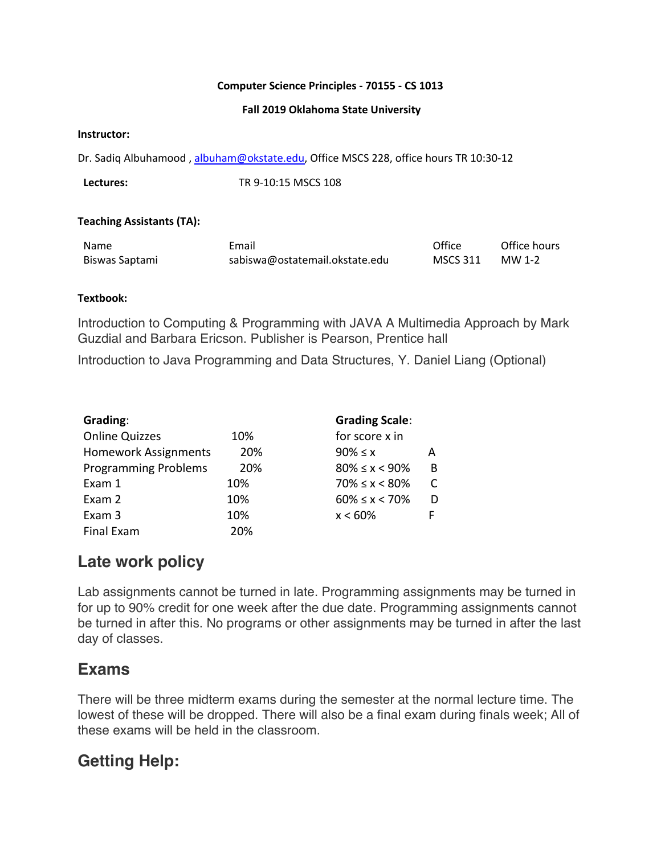### **Computer Science Principles - 70155 - CS 1013**

#### **Fall 2019 Oklahoma State University**

#### **Instructor:**

Dr. Sadiq Albuhamood, albuham@okstate.edu, Office MSCS 228, office hours TR 10:30-12

**Lectures:** TR 9-10:15 MSCS 108

### **Teaching Assistants (TA):**

| Name           | Email                          | Office          | Office hours |
|----------------|--------------------------------|-----------------|--------------|
| Biswas Saptami | sabiswa@ostatemail.okstate.edu | <b>MSCS 311</b> | MW 1-2       |

### **Textbook:**

Introduction to Computing & Programming with JAVA A Multimedia Approach by Mark Guzdial and Barbara Ericson. Publisher is Pearson, Prentice hall

Introduction to Java Programming and Data Structures, Y. Daniel Liang (Optional)

| Grading:                    |     | <b>Grading Scale:</b>   |   |
|-----------------------------|-----|-------------------------|---|
| <b>Online Quizzes</b>       | 10% | for score x in          |   |
| <b>Homework Assignments</b> | 20% | $90\% \leq x$           | А |
| <b>Programming Problems</b> | 20% | $80\% \leq x \leq 90\%$ | B |
| Exam 1                      | 10% | $70\% \leq x \leq 80\%$ |   |
| Exam 2                      | 10% | $60\% \leq x \leq 70\%$ |   |
| Exam 3                      | 10% | $x < 60\%$              | F |
| Final Exam                  | 20% |                         |   |

### **Late work policy**

Lab assignments cannot be turned in late. Programming assignments may be turned in for up to 90% credit for one week after the due date. Programming assignments cannot be turned in after this. No programs or other assignments may be turned in after the last day of classes.

### **Exams**

There will be three midterm exams during the semester at the normal lecture time. The lowest of these will be dropped. There will also be a final exam during finals week; All of these exams will be held in the classroom.

### **Getting Help:**